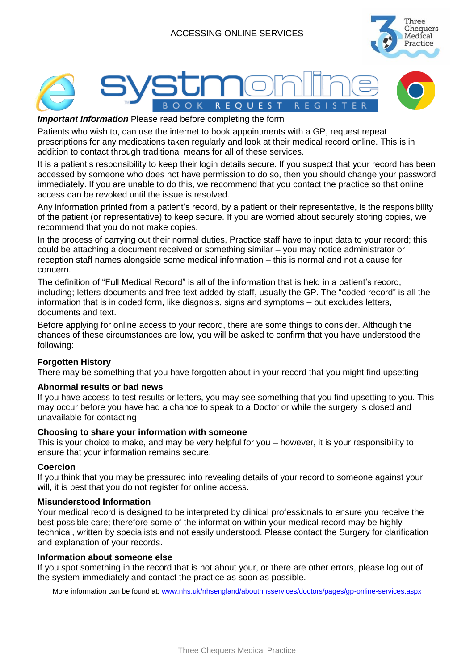# ACCESSING ONLINE SERVICES





#### *Important Information* Please read before completing the form

Patients who wish to, can use the internet to book appointments with a GP, request repeat prescriptions for any medications taken regularly and look at their medical record online. This is in addition to contact through traditional means for all of these services.

It is a patient's responsibility to keep their login details secure. If you suspect that your record has been accessed by someone who does not have permission to do so, then you should change your password immediately. If you are unable to do this, we recommend that you contact the practice so that online access can be revoked until the issue is resolved.

Any information printed from a patient's record, by a patient or their representative, is the responsibility of the patient (or representative) to keep secure. If you are worried about securely storing copies, we recommend that you do not make copies.

In the process of carrying out their normal duties, Practice staff have to input data to your record; this could be attaching a document received or something similar – you may notice administrator or reception staff names alongside some medical information – this is normal and not a cause for concern.

The definition of "Full Medical Record" is all of the information that is held in a patient's record, including; letters documents and free text added by staff, usually the GP. The "coded record" is all the information that is in coded form, like diagnosis, signs and symptoms – but excludes letters, documents and text.

Before applying for online access to your record, there are some things to consider. Although the chances of these circumstances are low, you will be asked to confirm that you have understood the following:

### **Forgotten History**

There may be something that you have forgotten about in your record that you might find upsetting

#### **Abnormal results or bad news**

If you have access to test results or letters, you may see something that you find upsetting to you. This may occur before you have had a chance to speak to a Doctor or while the surgery is closed and unavailable for contacting

#### **Choosing to share your information with someone**

This is your choice to make, and may be very helpful for you – however, it is your responsibility to ensure that your information remains secure.

#### **Coercion**

If you think that you may be pressured into revealing details of your record to someone against your will, it is best that you do not register for online access.

#### **Misunderstood Information**

Your medical record is designed to be interpreted by clinical professionals to ensure you receive the best possible care; therefore some of the information within your medical record may be highly technical, written by specialists and not easily understood. Please contact the Surgery for clarification and explanation of your records.

#### **Information about someone else**

If you spot something in the record that is not about your, or there are other errors, please log out of the system immediately and contact the practice as soon as possible.

More information can be found at: [www.nhs.uk/nhsengland/aboutnhsservices/doctors/pages/gp-online-services.aspx](http://www.nhs.uk/nhsengland/aboutnhsservices/doctors/pages/gp-online-services.aspx)